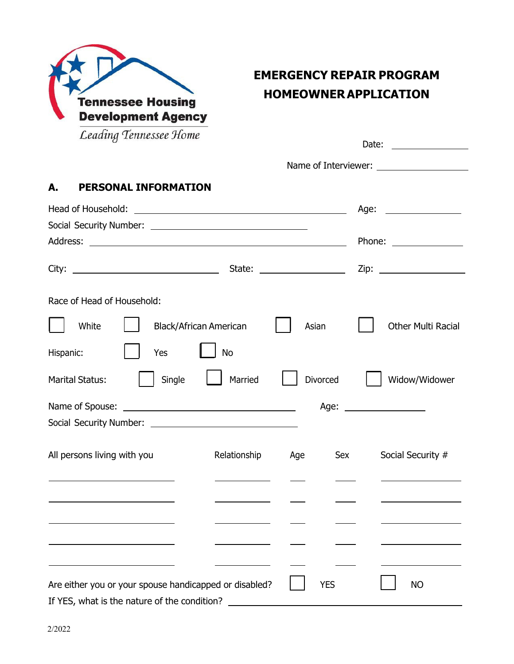

# **EMERGENCY REPAIR PROGRAM HOMEOWNER APPLICATION**

| Leading Tennessee Home                                 |                                                                                                                       |            | Date:                     |
|--------------------------------------------------------|-----------------------------------------------------------------------------------------------------------------------|------------|---------------------------|
|                                                        |                                                                                                                       |            |                           |
| <b>PERSONAL INFORMATION</b><br>А.                      |                                                                                                                       |            |                           |
|                                                        |                                                                                                                       |            | Age: __________________   |
|                                                        |                                                                                                                       |            |                           |
| Address:                                               | <u> 1989 - Johann Harry Harry Harry Harry Harry Harry Harry Harry Harry Harry Harry Harry Harry Harry Harry Harry</u> |            | Phone: _______________    |
|                                                        |                                                                                                                       |            |                           |
| Race of Head of Household:                             |                                                                                                                       |            |                           |
| White                                                  | <b>Black/African American</b>                                                                                         | Asian      | <b>Other Multi Racial</b> |
| Hispanic:<br>Yes                                       | <b>No</b>                                                                                                             |            |                           |
| Single<br><b>Marital Status:</b>                       | Married                                                                                                               | Divorced   | Widow/Widower             |
|                                                        |                                                                                                                       |            |                           |
|                                                        |                                                                                                                       |            |                           |
| All persons living with you                            | Relationship                                                                                                          | Age        | Social Security #<br>Sex  |
|                                                        |                                                                                                                       |            |                           |
|                                                        |                                                                                                                       |            |                           |
|                                                        |                                                                                                                       |            |                           |
|                                                        |                                                                                                                       |            |                           |
| Are either you or your spouse handicapped or disabled? |                                                                                                                       | <b>YES</b> | <b>NO</b>                 |
| If YES, what is the nature of the condition?           |                                                                                                                       |            |                           |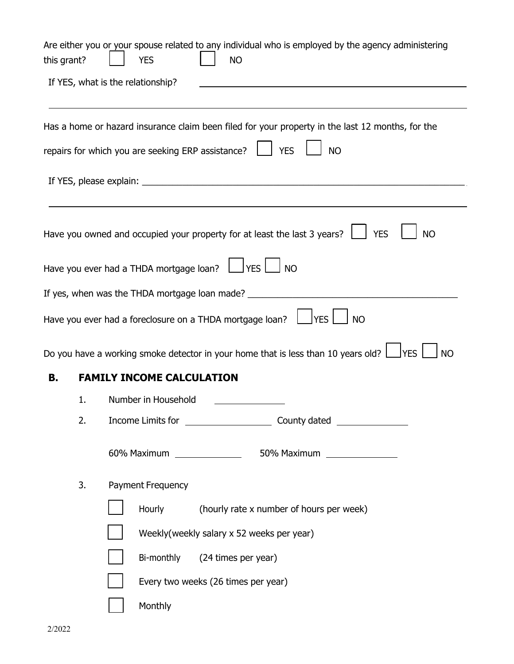| this grant? |    | Are either you or your spouse related to any individual who is employed by the agency administering<br><b>NO</b><br><b>YES</b> |
|-------------|----|--------------------------------------------------------------------------------------------------------------------------------|
|             |    | If YES, what is the relationship?                                                                                              |
|             |    | Has a home or hazard insurance claim been filed for your property in the last 12 months, for the                               |
|             |    | repairs for which you are seeking ERP assistance?<br>$\vert$ $\vert$ YES<br><b>NO</b>                                          |
|             |    |                                                                                                                                |
|             |    | Have you owned and occupied your property for at least the last 3 years? $\Box$<br><b>YES</b><br><b>NO</b>                     |
|             |    | Have you ever had a THDA mortgage loan? $\Box$ YES $\Box$ NO                                                                   |
|             |    | If yes, when was the THDA mortgage loan made? ____                                                                             |
|             |    | <b>YES</b><br>Have you ever had a foreclosure on a THDA mortgage loan? $\Box$<br><b>NO</b>                                     |
|             |    | Do you have a working smoke detector in your home that is less than 10 years old? $\Box$ YES<br><b>NO</b>                      |
| В.          |    | <b>FAMILY INCOME CALCULATION</b>                                                                                               |
|             | 1. | Number in Household                                                                                                            |
|             | 2. |                                                                                                                                |
|             |    | 60% Maximum _______________<br>50% Maximum ________________                                                                    |
|             | 3. | Payment Frequency                                                                                                              |
|             |    | (hourly rate x number of hours per week)<br><b>Hourly</b>                                                                      |
|             |    | Weekly (weekly salary x 52 weeks per year)                                                                                     |
|             |    | Bi-monthly<br>(24 times per year)                                                                                              |
|             |    | Every two weeks (26 times per year)                                                                                            |
|             |    | Monthly                                                                                                                        |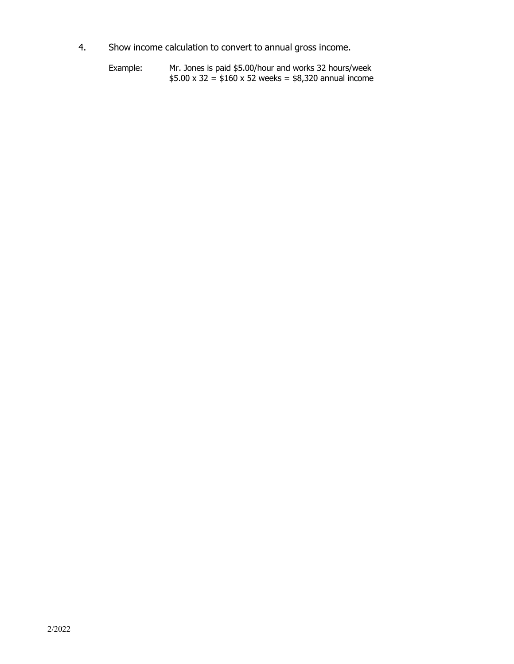- 4. Show income calculation to convert to annual gross income.
	- Example: Mr. Jones is paid \$5.00/hour and works 32 hours/week  $$5.00 \times 32 = $160 \times 52$  weeks = \$8,320 annual income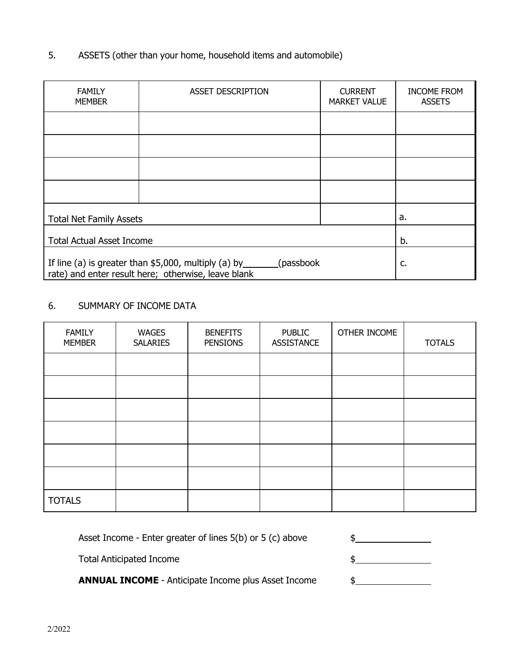### 5. ASSETS (other than your home, household items and automobile)

| <b>FAMILY</b><br><b>MEMBER</b>                                                                                         | <b>ASSET DESCRIPTION</b> | <b>CURRENT</b><br><b>MARKET VALUE</b> |  |
|------------------------------------------------------------------------------------------------------------------------|--------------------------|---------------------------------------|--|
|                                                                                                                        |                          |                                       |  |
|                                                                                                                        |                          |                                       |  |
|                                                                                                                        |                          |                                       |  |
|                                                                                                                        |                          |                                       |  |
| <b>Total Net Family Assets</b>                                                                                         | a.                       |                                       |  |
| <b>Total Actual Asset Income</b>                                                                                       | b.                       |                                       |  |
| If line (a) is greater than $$5,000$ , multiply (a) by ________<br>rate) and enter result here; otherwise, leave blank | c.                       |                                       |  |

## 6. SUMMARY OF INCOME DATA

| <b>FAMILY</b><br><b>MEMBER</b> | <b>WAGES</b><br><b>SALARIES</b> | <b>BENEFITS</b><br><b>PENSIONS</b> | <b>PUBLIC</b><br><b>ASSISTANCE</b> | OTHER INCOME | <b>TOTALS</b> |
|--------------------------------|---------------------------------|------------------------------------|------------------------------------|--------------|---------------|
|                                |                                 |                                    |                                    |              |               |
|                                |                                 |                                    |                                    |              |               |
|                                |                                 |                                    |                                    |              |               |
|                                |                                 |                                    |                                    |              |               |
|                                |                                 |                                    |                                    |              |               |
|                                |                                 |                                    |                                    |              |               |
| <b>TOTALS</b>                  |                                 |                                    |                                    |              |               |

Asset Income - Enter greater of lines 5(b) or 5 (c) above

Total Anticipated Income and the set of the set of the set of the set of the set of the set of the set of the set of the set of the set of the set of the set of the set of the set of the set of the set of the set of the se

**ANNUAL INCOME** - Anticipate Income plus Asset Income  $\frac{1}{2}$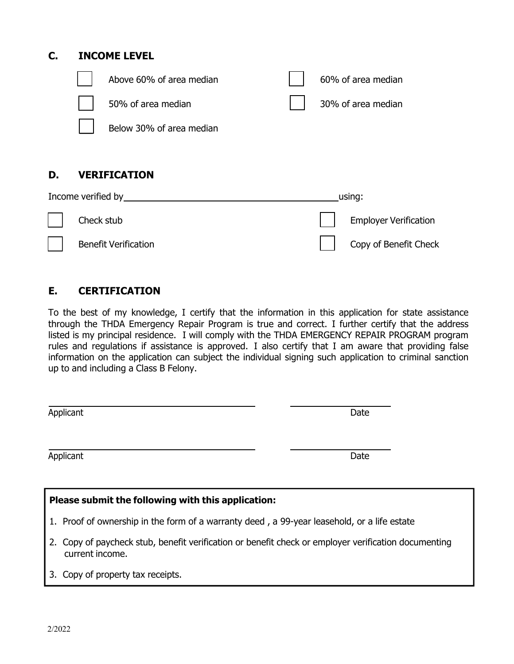## **C. INCOME LEVEL**



## **D. VERIFICATION**

| Income verified by |                             |  | using:                |  |
|--------------------|-----------------------------|--|-----------------------|--|
|                    | Check stub                  |  | Employer Verification |  |
|                    | <b>Benefit Verification</b> |  | Copy of Benefit Check |  |

## **E. CERTIFICATION**

To the best of my knowledge, I certify that the information in this application for state assistance through the THDA Emergency Repair Program is true and correct. I further certify that the address listed is my principal residence. I will comply with the THDA EMERGENCY REPAIR PROGRAM program rules and regulations if assistance is approved. I also certify that I am aware that providing false information on the application can subject the individual signing such application to criminal sanction up to and including a Class B Felony.

| Applicant | Date |
|-----------|------|
|           |      |
| Applicant | Date |
|           |      |

| Please submit the following with this application:                                                                      |  |  |  |  |
|-------------------------------------------------------------------------------------------------------------------------|--|--|--|--|
| 1. Proof of ownership in the form of a warranty deed, a 99-year leasehold, or a life estate                             |  |  |  |  |
| 2. Copy of paycheck stub, benefit verification or benefit check or employer verification documenting<br>current income. |  |  |  |  |

3. Copy of property tax receipts.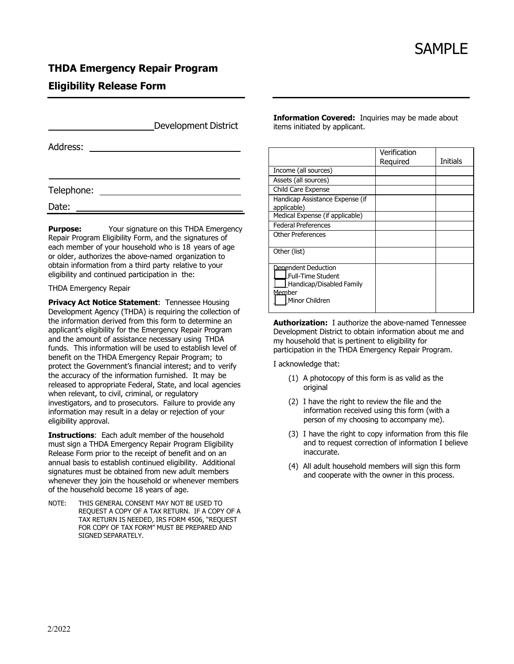### **THDA Emergency Repair Program**

### **Eligibility Release Form**

|            | <b>Development District</b> |
|------------|-----------------------------|
| Address:   |                             |
|            |                             |
| Telephone: |                             |
|            |                             |
| Date:      |                             |

**Purpose:** Your signature on this THDA Emergency Repair Program Eligibility Form, and the signatures of each member of your household who is 18 years of age or older, authorizes the above-named organization to obtain information from a third party relative to your eligibility and continued participation in the:

#### THDA Emergency Repair

**Privacy Act Notice Statement: Tennessee Housing** Development Agency (THDA) is requiring the collection of the information derived from this form to determine an applicant's eligibility for the Emergency Repair Program and the amount of assistance necessary using THDA funds. This information will be used to establish level of benefit on the THDA Emergency Repair Program; to protect the Government's financial interest; and to verify the accuracy of the information furnished. It may be released to appropriate Federal, State, and local agencies when relevant, to civil, criminal, or regulatory investigators, and to prosecutors. Failure to provide any information may result in a delay or rejection of your eligibility approval.

**Instructions**: Each adult member of the household must sign a THDA Emergency Repair Program Eligibility Release Form prior to the receipt of benefit and on an annual basis to establish continued eligibility. Additional signatures must be obtained from new adult members whenever they join the household or whenever members of the household become 18 years of age.

NOTE: THIS GENERAL CONSENT MAY NOT BE USED TO REQUEST A COPY OF A TAX RETURN. IF A COPY OF A TAX RETURN IS NEEDED, IRS FORM 4506, "REQUEST FOR COPY OF TAX FORM" MUST BE PREPARED AND SIGNED SEPARATELY.

**Information Covered:** Inquiries may be made about items initiated by applicant.

|                                                                                                                  | Verification<br>Reguired | Initials |
|------------------------------------------------------------------------------------------------------------------|--------------------------|----------|
| Income (all sources)                                                                                             |                          |          |
| Assets (all sources)                                                                                             |                          |          |
| Child Care Expense                                                                                               |                          |          |
| Handicap Assistance Expense (if<br>applicable)                                                                   |                          |          |
| Medical Expense (if applicable)                                                                                  |                          |          |
| <b>Federal Preferences</b>                                                                                       |                          |          |
| <b>Other Preferences</b>                                                                                         |                          |          |
| Other (list)                                                                                                     |                          |          |
| Denendent Deduction<br><b>LFull-Time Student</b><br>Handicap/Disabled Family<br><u>Mem</u> ber<br>Minor Children |                          |          |

**Authorization:** I authorize the above-named Tennessee Development District to obtain information about me and my household that is pertinent to eligibility for participation in the THDA Emergency Repair Program.

I acknowledge that:

- (1) A photocopy of this form is as valid as the original
- (2) I have the right to review the file and the information received using this form (with a person of my choosing to accompany me).
- (3) I have the right to copy information from this file and to request correction of information I believe inaccurate.
- (4) All adult household members will sign this form and cooperate with the owner in this process.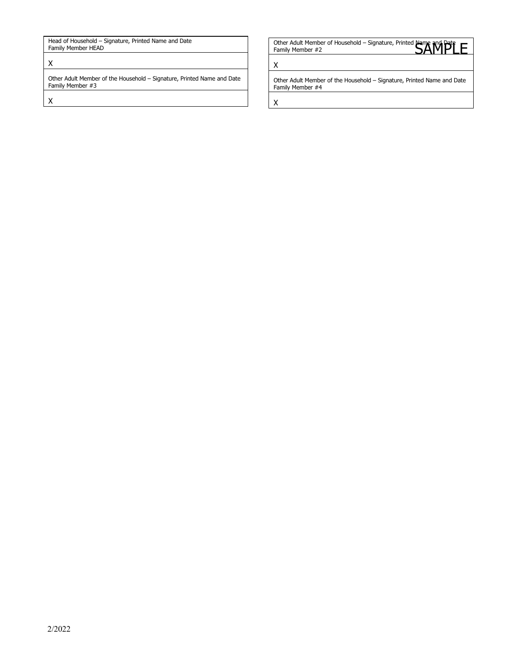Head of Household – Signature, Printed Name and Date Family Member HEAD

#### X

Other Adult Member of the Household – Signature, Printed Name and Date Family Member #3

X

Head of Household – Signature, Printed Name and Date **Canadian Content Advised Advised And Date Content Advised A**<br>Family Member H2 Content of Household – Signature, Printed Name and Date Content Advised Banaly Member #2 Family Member #2

X

Other Adult Member of the Household – Signature, Printed Name and Date Family Member #4

X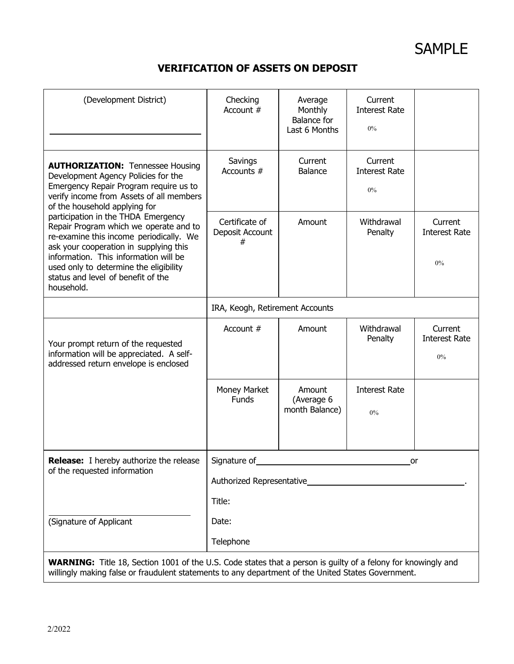SAMPLE

## **VERIFICATION OF ASSETS ON DEPOSIT**

| (Development District)                                                                                                                                                                                                                                                                                    | Checking<br>Account $#$                                   | Average<br>Monthly<br><b>Balance</b> for<br>Last 6 Months | Current<br><b>Interest Rate</b><br>$0\%$ |                                          |  |
|-----------------------------------------------------------------------------------------------------------------------------------------------------------------------------------------------------------------------------------------------------------------------------------------------------------|-----------------------------------------------------------|-----------------------------------------------------------|------------------------------------------|------------------------------------------|--|
| <b>AUTHORIZATION: Tennessee Housing</b><br>Development Agency Policies for the<br>Emergency Repair Program require us to<br>verify income from Assets of all members<br>of the household applying for                                                                                                     | Savings<br>Accounts #                                     | Current<br>Balance                                        | Current<br><b>Interest Rate</b><br>$0\%$ |                                          |  |
| participation in the THDA Emergency<br>Repair Program which we operate and to<br>re-examine this income periodically. We<br>ask your cooperation in supplying this<br>information. This information will be<br>used only to determine the eligibility<br>status and level of benefit of the<br>household. | Certificate of<br>Deposit Account<br>#                    | Amount                                                    | Withdrawal<br>Penalty                    | Current<br><b>Interest Rate</b><br>0%    |  |
|                                                                                                                                                                                                                                                                                                           | IRA, Keogh, Retirement Accounts                           |                                                           |                                          |                                          |  |
| Your prompt return of the requested<br>information will be appreciated. A self-<br>addressed return envelope is enclosed                                                                                                                                                                                  | Account #                                                 | Amount                                                    | Withdrawal<br>Penalty                    | Current<br><b>Interest Rate</b><br>$0\%$ |  |
|                                                                                                                                                                                                                                                                                                           | Money Market<br>Funds                                     | Amount<br>(Average 6<br>month Balance)                    | <b>Interest Rate</b><br>0%               |                                          |  |
| <b>Release:</b> I hereby authorize the release<br>of the requested information                                                                                                                                                                                                                            | Signature of<br>or<br>Authorized Representative<br>Title: |                                                           |                                          |                                          |  |
| (Signature of Applicant                                                                                                                                                                                                                                                                                   | Date:<br>Telephone                                        |                                                           |                                          |                                          |  |
| <b>WARNING:</b> Title 18, Section 1001 of the U.S. Code states that a person is guilty of a felony for knowingly and<br>willingly making false or fraudulent statements to any department of the United States Government.                                                                                |                                                           |                                                           |                                          |                                          |  |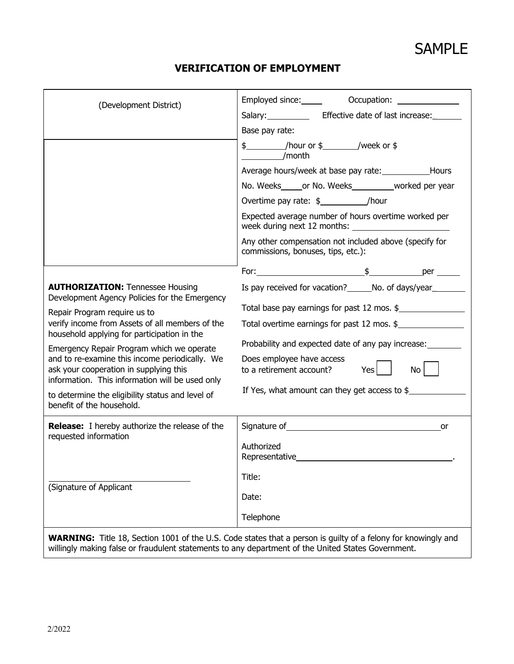| (Development District)                                                                                                                      |                                                                                                                      |  |  |  |
|---------------------------------------------------------------------------------------------------------------------------------------------|----------------------------------------------------------------------------------------------------------------------|--|--|--|
|                                                                                                                                             | Salary: ______________ Effective date of last increase: ______                                                       |  |  |  |
|                                                                                                                                             | Base pay rate:                                                                                                       |  |  |  |
|                                                                                                                                             | \$ /hour or \$ /week or \$<br>/month                                                                                 |  |  |  |
|                                                                                                                                             | Average hours/week at base pay rate: ________________Hours                                                           |  |  |  |
|                                                                                                                                             | No. Weeks______or No. Weeks____________worked per year                                                               |  |  |  |
|                                                                                                                                             | Overtime pay rate: \$_____________/hour                                                                              |  |  |  |
|                                                                                                                                             | Expected average number of hours overtime worked per                                                                 |  |  |  |
|                                                                                                                                             | Any other compensation not included above (specify for<br>commissions, bonuses, tips, etc.):                         |  |  |  |
|                                                                                                                                             |                                                                                                                      |  |  |  |
| <b>AUTHORIZATION: Tennessee Housing</b><br>Development Agency Policies for the Emergency                                                    | Is pay received for vacation? _______ No. of days/year_________                                                      |  |  |  |
| Repair Program require us to                                                                                                                | Total base pay earnings for past 12 mos. \$                                                                          |  |  |  |
| verify income from Assets of all members of the<br>household applying for participation in the                                              | Total overtime earnings for past 12 mos. \$                                                                          |  |  |  |
| Emergency Repair Program which we operate                                                                                                   | Probability and expected date of any pay increase:                                                                   |  |  |  |
| and to re-examine this income periodically. We<br>ask your cooperation in supplying this<br>information. This information will be used only | Does employee have access<br>Yes<br>$\mathsf{No}$<br>to a retirement account?                                        |  |  |  |
| to determine the eligibility status and level of<br>benefit of the household.                                                               | If Yes, what amount can they get access to $$$                                                                       |  |  |  |
|                                                                                                                                             |                                                                                                                      |  |  |  |
| <b>Release:</b> I hereby authorize the release of the<br>requested information                                                              |                                                                                                                      |  |  |  |
|                                                                                                                                             | Authorized                                                                                                           |  |  |  |
|                                                                                                                                             | Representative                                                                                                       |  |  |  |
| (Signature of Applicant                                                                                                                     | Title:                                                                                                               |  |  |  |
|                                                                                                                                             | Date:                                                                                                                |  |  |  |
|                                                                                                                                             | Telephone                                                                                                            |  |  |  |
|                                                                                                                                             | <b>WARNING:</b> Title 18, Section 1001 of the U.S. Code states that a person is guilty of a felony for knowingly and |  |  |  |

willingly making false or fraudulent statements to any department of the United States Government.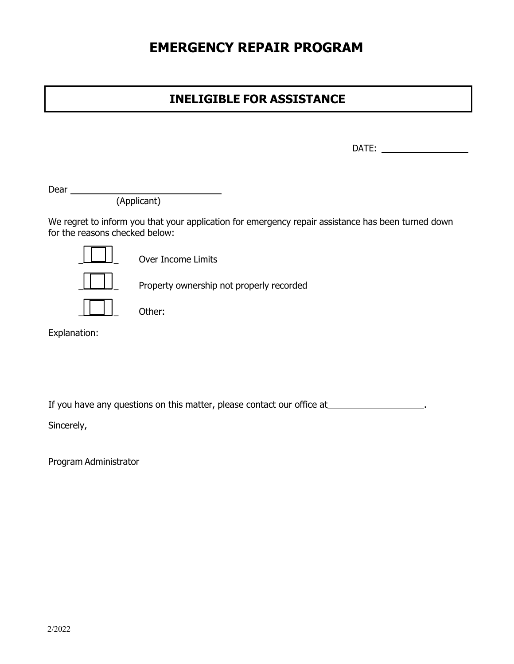# **EMERGENCY REPAIR PROGRAM**

## **INELIGIBLE FOR ASSISTANCE**

DATE:

Dear

(Applicant)

We regret to inform you that your application for emergency repair assistance has been turned down for the reasons checked below:



Over Income Limits

Property ownership not properly recorded



Explanation:

If you have any questions on this matter, please contact our office at \_\_\_\_\_\_\_\_\_\_\_\_\_\_\_\_\_\_\_\_\_.

Sincerely,

Program Administrator